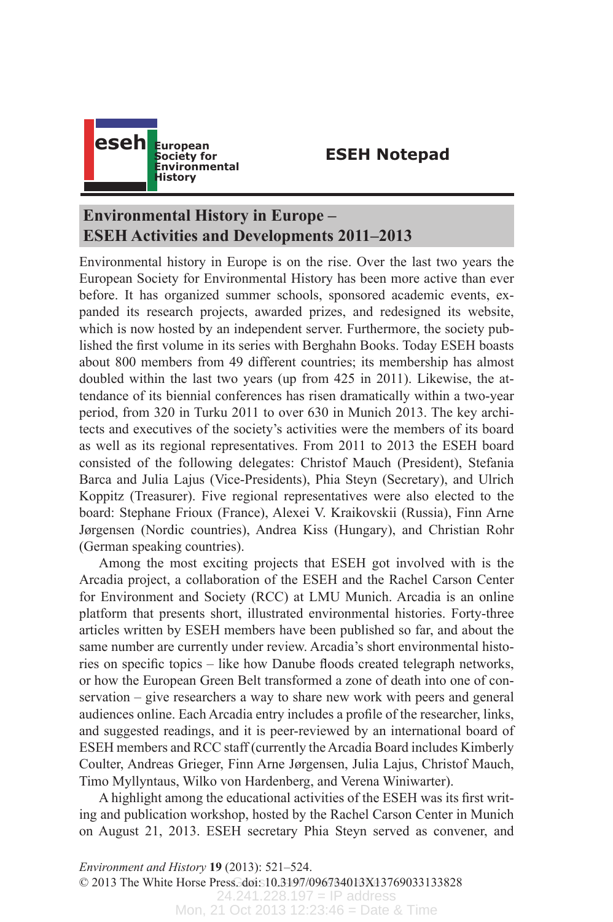

## **ESEH Notepad**

## **Environmental History in Europe – ESEH Activities and Developments 2011–2013**

Environmental history in Europe is on the rise. Over the last two years the European Society for Environmental History has been more active than ever before. It has organized summer schools, sponsored academic events, expanded its research projects, awarded prizes, and redesigned its website, which is now hosted by an independent server. Furthermore, the society published the first volume in its series with Berghahn Books. Today ESEH boasts about 800 members from 49 different countries; its membership has almost doubled within the last two years (up from 425 in 2011). Likewise, the attendance of its biennial conferences has risen dramatically within a two-year period, from 320 in Turku 2011 to over 630 in Munich 2013. The key architects and executives of the society's activities were the members of its board as well as its regional representatives. From 2011 to 2013 the ESEH board consisted of the following delegates: Christof Mauch (President), Stefania Barca and Julia Lajus (Vice-Presidents), Phia Steyn (Secretary), and Ulrich Koppitz (Treasurer). Five regional representatives were also elected to the board: Stephane Frioux (France), Alexei V. Kraikovskii (Russia), Finn Arne Jørgensen (Nordic countries), Andrea Kiss (Hungary), and Christian Rohr (German speaking countries).

Among the most exciting projects that ESEH got involved with is the Arcadia project, a collaboration of the ESEH and the Rachel Carson Center for Environment and Society (RCC) at LMU Munich. Arcadia is an online platform that presents short, illustrated environmental histories. Forty-three articles written by ESEH members have been published so far, and about the same number are currently under review. Arcadia's short environmental histories on specific topics – like how Danube floods created telegraph networks, or how the European Green Belt transformed a zone of death into one of conservation – give researchers a way to share new work with peers and general audiences online. Each Arcadia entry includes a profile of the researcher, links, and suggested readings, and it is peer-reviewed by an international board of ESEH members and RCC staff (currently the Arcadia Board includes Kimberly Coulter, Andreas Grieger, Finn Arne Jørgensen, Julia Lajus, Christof Mauch, Timo Myllyntaus, Wilko von Hardenberg, and Verena Winiwarter).

A highlight among the educational activities of the ESEH was its first writing and publication workshop, hosted by the Rachel Carson Center in Munich on August 21, 2013. ESEH secretary Phia Steyn served as convener, and

© 2013 The White Horse Press. doi: 10.3197/096734013X13769033133828 24.241.228.197 = IP address *Environment and History* **19** (2013): 521–524.

Mon, 21 Oct 2013 12:23:46 = Date & Time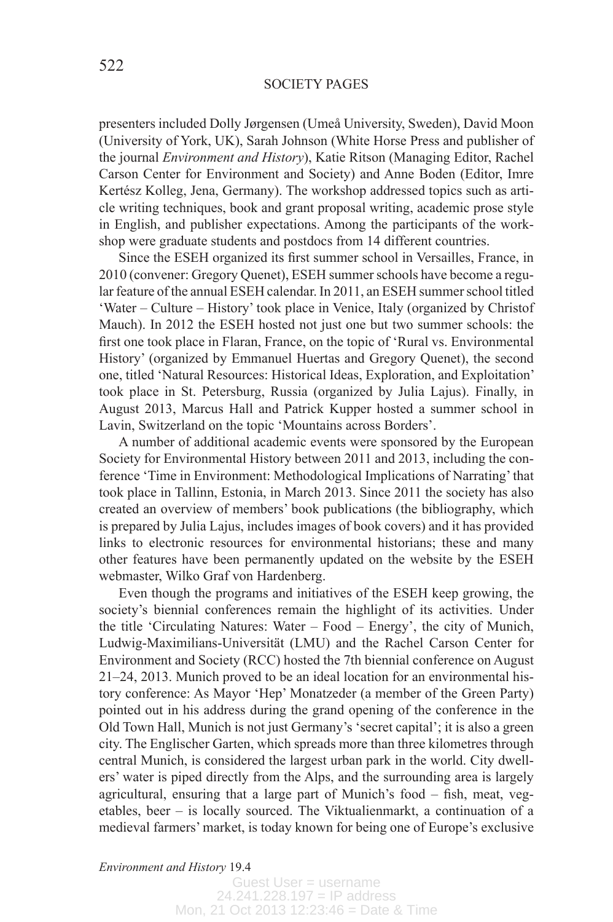## SOCIETY PAGES

presenters included Dolly Jørgensen (Umeå University, Sweden), David Moon (University of York, UK), Sarah Johnson (White Horse Press and publisher of the journal *Environment and History*), Katie Ritson (Managing Editor, Rachel Carson Center for Environment and Society) and Anne Boden (Editor, Imre Kertész Kolleg, Jena, Germany). The workshop addressed topics such as article writing techniques, book and grant proposal writing, academic prose style in English, and publisher expectations. Among the participants of the workshop were graduate students and postdocs from 14 different countries.

Since the ESEH organized its first summer school in Versailles, France, in 2010 (convener: Gregory Quenet), ESEH summer schools have become a regular feature of the annual ESEH calendar. In 2011, an ESEH summer school titled 'Water – Culture – History' took place in Venice, Italy (organized by Christof Mauch). In 2012 the ESEH hosted not just one but two summer schools: the first one took place in Flaran, France, on the topic of 'Rural vs. Environmental History' (organized by Emmanuel Huertas and Gregory Quenet), the second one, titled 'Natural Resources: Historical Ideas, Exploration, and Exploitation' took place in St. Petersburg, Russia (organized by Julia Lajus). Finally, in August 2013, Marcus Hall and Patrick Kupper hosted a summer school in Lavin, Switzerland on the topic 'Mountains across Borders'.

A number of additional academic events were sponsored by the European Society for Environmental History between 2011 and 2013, including the conference 'Time in Environment: Methodological Implications of Narrating' that took place in Tallinn, Estonia, in March 2013. Since 2011 the society has also created an overview of members' book publications (the bibliography, which is prepared by Julia Lajus, includes images of book covers) and it has provided links to electronic resources for environmental historians; these and many other features have been permanently updated on the website by the ESEH webmaster, Wilko Graf von Hardenberg.

Even though the programs and initiatives of the ESEH keep growing, the society's biennial conferences remain the highlight of its activities. Under the title 'Circulating Natures: Water – Food – Energy', the city of Munich, Ludwig-Maximilians-Universität (LMU) and the Rachel Carson Center for Environment and Society (RCC) hosted the 7th biennial conference on August 21–24, 2013. Munich proved to be an ideal location for an environmental history conference: As Mayor 'Hep' Monatzeder (a member of the Green Party) pointed out in his address during the grand opening of the conference in the Old Town Hall, Munich is not just Germany's 'secret capital'; it is also a green city. The Englischer Garten, which spreads more than three kilometres through central Munich, is considered the largest urban park in the world. City dwellers' water is piped directly from the Alps, and the surrounding area is largely agricultural, ensuring that a large part of Munich's food – fish, meat, vegetables, beer – is locally sourced. The Viktualienmarkt, a continuation of a medieval farmers' market, is today known for being one of Europe's exclusive

*Environment and History* 19.4

Guest User = username 24.241.228.197 = IP address Mon, 21 Oct 2013 12:23:46 = Date & Time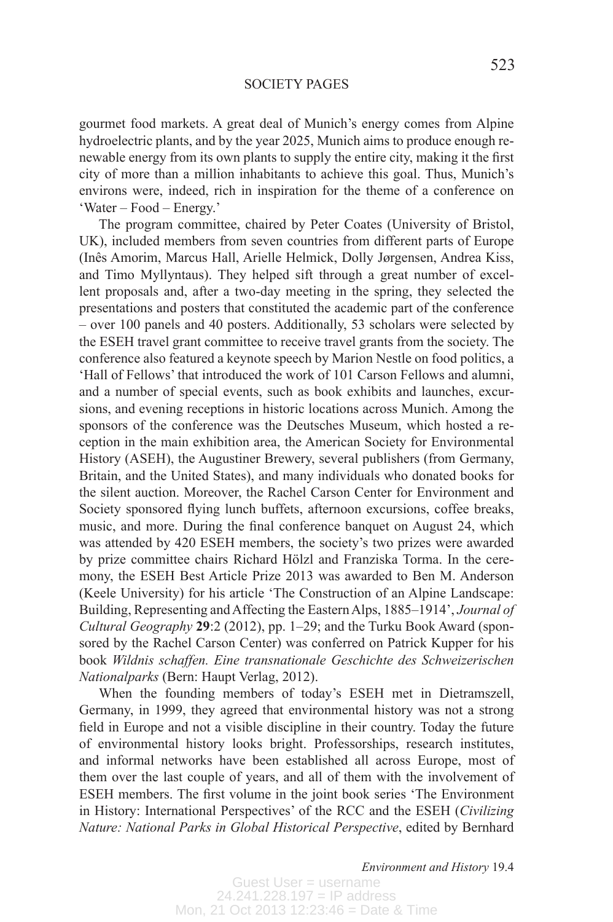gourmet food markets. A great deal of Munich's energy comes from Alpine hydroelectric plants, and by the year 2025, Munich aims to produce enough renewable energy from its own plants to supply the entire city, making it the first city of more than a million inhabitants to achieve this goal. Thus, Munich's environs were, indeed, rich in inspiration for the theme of a conference on 'Water – Food – Energy.'

The program committee, chaired by Peter Coates (University of Bristol, UK), included members from seven countries from different parts of Europe (Inês Amorim, Marcus Hall, Arielle Helmick, Dolly Jørgensen, Andrea Kiss, and Timo Myllyntaus). They helped sift through a great number of excellent proposals and, after a two-day meeting in the spring, they selected the presentations and posters that constituted the academic part of the conference – over 100 panels and 40 posters. Additionally, 53 scholars were selected by the ESEH travel grant committee to receive travel grants from the society. The conference also featured a keynote speech by Marion Nestle on food politics, a 'Hall of Fellows' that introduced the work of 101 Carson Fellows and alumni, and a number of special events, such as book exhibits and launches, excursions, and evening receptions in historic locations across Munich. Among the sponsors of the conference was the Deutsches Museum, which hosted a reception in the main exhibition area, the American Society for Environmental History (ASEH), the Augustiner Brewery, several publishers (from Germany, Britain, and the United States), and many individuals who donated books for the silent auction. Moreover, the Rachel Carson Center for Environment and Society sponsored flying lunch buffets, afternoon excursions, coffee breaks, music, and more. During the final conference banquet on August 24, which was attended by 420 ESEH members, the society's two prizes were awarded by prize committee chairs Richard Hölzl and Franziska Torma. In the ceremony, the ESEH Best Article Prize 2013 was awarded to Ben M. Anderson (Keele University) for his article 'The Construction of an Alpine Landscape: Building, Representing and Affecting the Eastern Alps, 1885–1914', *Journal of Cultural Geography* **29**:2 (2012), pp. 1–29; and the Turku Book Award (sponsored by the Rachel Carson Center) was conferred on Patrick Kupper for his book *Wildnis schaffen. Eine transnationale Geschichte des Schweizerischen Nationalparks* (Bern: Haupt Verlag, 2012).

When the founding members of today's ESEH met in Dietramszell, Germany, in 1999, they agreed that environmental history was not a strong field in Europe and not a visible discipline in their country. Today the future of environmental history looks bright. Professorships, research institutes, and informal networks have been established all across Europe, most of them over the last couple of years, and all of them with the involvement of ESEH members. The first volume in the joint book series 'The Environment in History: International Perspectives' of the RCC and the ESEH (*Civilizing Nature: National Parks in Global Historical Perspective*, edited by Bernhard